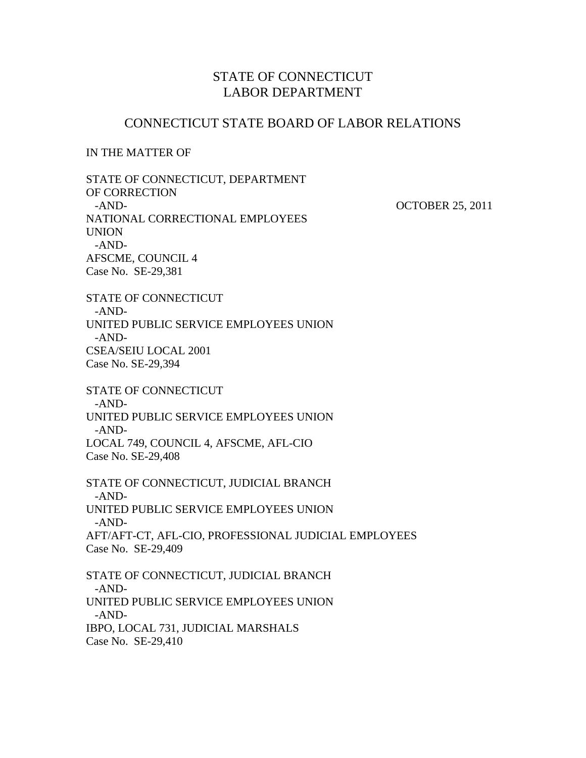# STATE OF CONNECTICUT LABOR DEPARTMENT

# CONNECTICUT STATE BOARD OF LABOR RELATIONS

## IN THE MATTER OF

STATE OF CONNECTICUT, DEPARTMENT OF CORRECTION -AND-<br>
OCTOBER 25, 2011 NATIONAL CORRECTIONAL EMPLOYEES UNION -AND-AFSCME, COUNCIL 4 Case No. SE-29,381

STATE OF CONNECTICUT -AND-UNITED PUBLIC SERVICE EMPLOYEES UNION -AND-CSEA/SEIU LOCAL 2001 Case No. SE-29,394

STATE OF CONNECTICUT -AND-UNITED PUBLIC SERVICE EMPLOYEES UNION -AND-LOCAL 749, COUNCIL 4, AFSCME, AFL-CIO Case No. SE-29,408

STATE OF CONNECTICUT, JUDICIAL BRANCH -AND-UNITED PUBLIC SERVICE EMPLOYEES UNION -AND-AFT/AFT-CT, AFL-CIO, PROFESSIONAL JUDICIAL EMPLOYEES Case No. SE-29,409 STATE OF CONNECTICUT, JUDICIAL BRANCH -AND-UNITED PUBLIC SERVICE EMPLOYEES UNION

-AND-

IBPO, LOCAL 731, JUDICIAL MARSHALS Case No. SE-29,410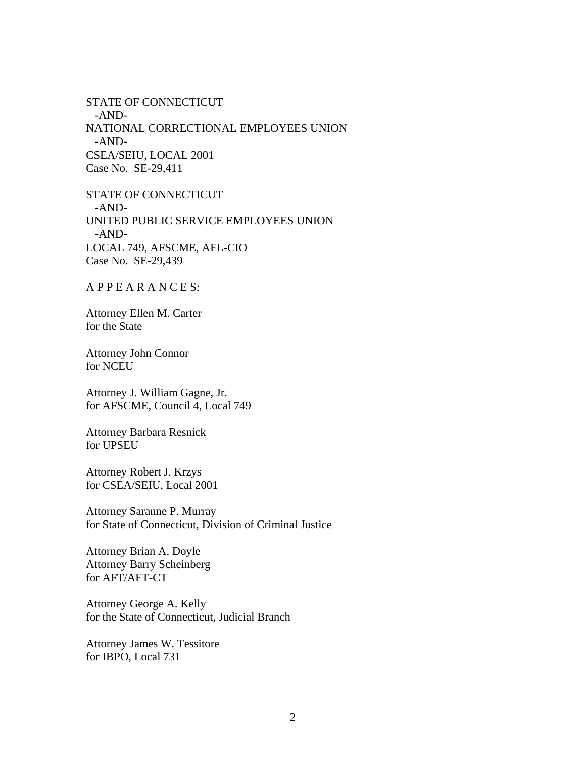STATE OF CONNECTICUT -AND-NATIONAL CORRECTIONAL EMPLOYEES UNION -AND-CSEA/SEIU, LOCAL 2001 Case No. SE-29,411

STATE OF CONNECTICUT -AND-UNITED PUBLIC SERVICE EMPLOYEES UNION -AND-LOCAL 749, AFSCME, AFL-CIO Case No. SE-29,439

A P P E A R A N C E S:

Attorney Ellen M. Carter for the State

Attorney John Connor for NCEU

Attorney J. William Gagne, Jr. for AFSCME, Council 4, Local 749

Attorney Barbara Resnick for UPSEU

Attorney Robert J. Krzys for CSEA/SEIU, Local 2001

Attorney Saranne P. Murray for State of Connecticut, Division of Criminal Justice

Attorney Brian A. Doyle Attorney Barry Scheinberg for AFT/AFT-CT

Attorney George A. Kelly for the State of Connecticut, Judicial Branch

Attorney James W. Tessitore for IBPO, Local 731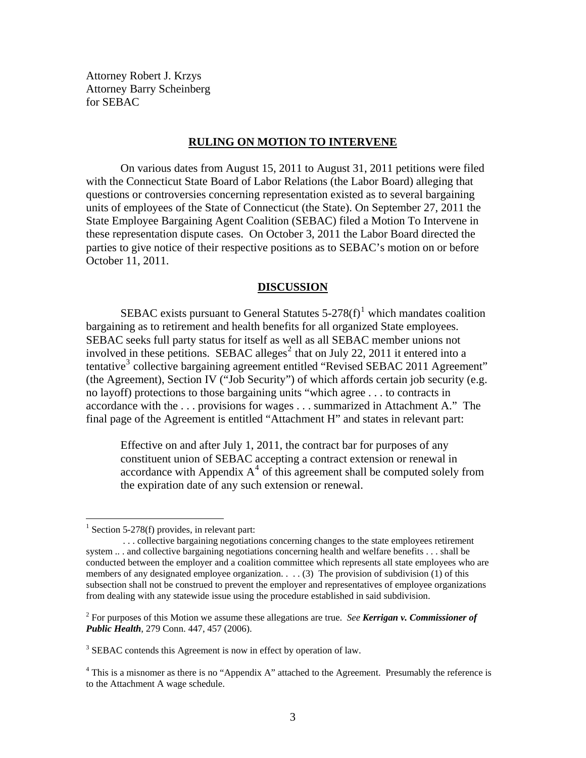Attorney Robert J. Krzys Attorney Barry Scheinberg for SEBAC

### **RULING ON MOTION TO INTERVENE**

 On various dates from August 15, 2011 to August 31, 2011 petitions were filed with the Connecticut State Board of Labor Relations (the Labor Board) alleging that questions or controversies concerning representation existed as to several bargaining units of employees of the State of Connecticut (the State). On September 27, 2011 the State Employee Bargaining Agent Coalition (SEBAC) filed a Motion To Intervene in these representation dispute cases. On October 3, 2011 the Labor Board directed the parties to give notice of their respective positions as to SEBAC's motion on or before October 11, 2011.

#### **DISCUSSION**

SEBAC exists pursuant to General Statutes  $5-278(f)$ <sup>[1](#page-2-0)</sup> which mandates coalition bargaining as to retirement and health benefits for all organized State employees. SEBAC seeks full party status for itself as well as all SEBAC member unions not involved in these petitions. SEBAC alleges<sup>[2](#page-2-1)</sup> that on July 22, 2011 it entered into a tentative<sup>[3](#page-2-2)</sup> collective bargaining agreement entitled "Revised SEBAC 2011 Agreement" (the Agreement), Section IV ("Job Security") of which affords certain job security (e.g. no layoff) protections to those bargaining units "which agree . . . to contracts in accordance with the . . . provisions for wages . . . summarized in Attachment A." The final page of the Agreement is entitled "Attachment H" and states in relevant part:

Effective on and after July 1, 2011, the contract bar for purposes of any constituent union of SEBAC accepting a contract extension or renewal in accordance with Appendix  $A<sup>4</sup>$  $A<sup>4</sup>$  $A<sup>4</sup>$  of this agreement shall be computed solely from the expiration date of any such extension or renewal.

1

 $<sup>1</sup>$  Section 5-278(f) provides, in relevant part:</sup>

<span id="page-2-0"></span> <sup>. . .</sup> collective bargaining negotiations concerning changes to the state employees retirement system .. . and collective bargaining negotiations concerning health and welfare benefits . . . shall be conducted between the employer and a coalition committee which represents all state employees who are members of any designated employee organization. . . . (3) The provision of subdivision (1) of this subsection shall not be construed to prevent the employer and representatives of employee organizations from dealing with any statewide issue using the procedure established in said subdivision.

<span id="page-2-1"></span><sup>2</sup> For purposes of this Motion we assume these allegations are true. *See Kerrigan v. Commissioner of Public Health*, 279 Conn. 447, 457 (2006).

<span id="page-2-2"></span><sup>&</sup>lt;sup>3</sup> SEBAC contends this Agreement is now in effect by operation of law.

<span id="page-2-3"></span><sup>&</sup>lt;sup>4</sup> This is a misnomer as there is no "Appendix A" attached to the Agreement. Presumably the reference is to the Attachment A wage schedule.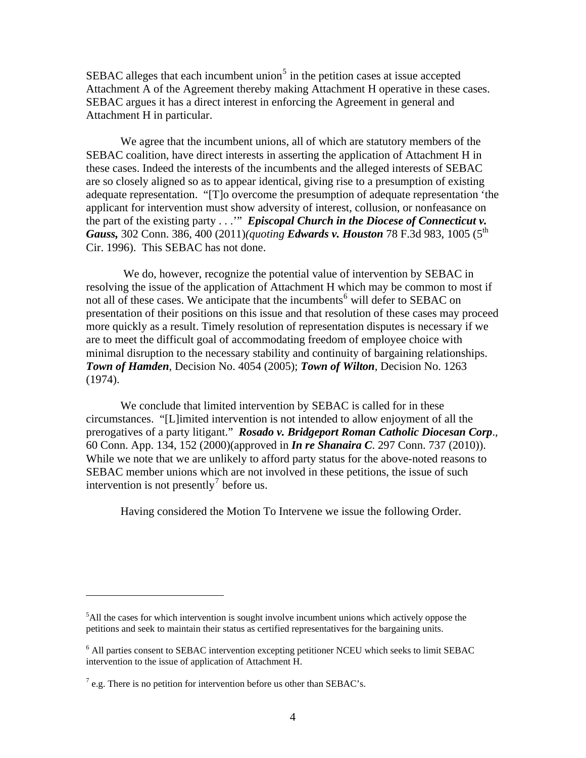SEBAC alleges that each incumbent union<sup>[5](#page-3-0)</sup> in the petition cases at issue accepted Attachment A of the Agreement thereby making Attachment H operative in these cases. SEBAC argues it has a direct interest in enforcing the Agreement in general and Attachment H in particular.

 We agree that the incumbent unions, all of which are statutory members of the SEBAC coalition, have direct interests in asserting the application of Attachment H in these cases. Indeed the interests of the incumbents and the alleged interests of SEBAC are so closely aligned so as to appear identical, giving rise to a presumption of existing adequate representation. "[T]o overcome the presumption of adequate representation 'the applicant for intervention must show adversity of interest, collusion, or nonfeasance on the part of the existing party . . .'" *Episcopal Church in the Diocese of Connecticut v. Gauss,* 302 Conn. 386, 400 (2011)*(quoting Edwards v. Houston* 78 F.3d 983, 1005 (5th Cir. 1996). This SEBAC has not done.

 We do, however, recognize the potential value of intervention by SEBAC in resolving the issue of the application of Attachment H which may be common to most if not all of these cases. We anticipate that the incumbents<sup>[6](#page-3-1)</sup> will defer to SEBAC on presentation of their positions on this issue and that resolution of these cases may proceed more quickly as a result. Timely resolution of representation disputes is necessary if we are to meet the difficult goal of accommodating freedom of employee choice with minimal disruption to the necessary stability and continuity of bargaining relationships. *Town of Hamden*, Decision No. 4054 (2005); *Town of Wilton*, Decision No. 1263 (1974).

 We conclude that limited intervention by SEBAC is called for in these circumstances. "[L]imited intervention is not intended to allow enjoyment of all the prerogatives of a party litigant." *Rosado v. Bridgeport Roman Catholic Diocesan Corp*., 60 Conn. App. 134, 152 (2000)(approved in *In re Shanaira C*. 297 Conn. 737 (2010)). While we note that we are unlikely to afford party status for the above-noted reasons to SEBAC member unions which are not involved in these petitions, the issue of such intervention is not presently<sup>[7](#page-3-2)</sup> before us.

Having considered the Motion To Intervene we issue the following Order.

 $\overline{a}$ 

<span id="page-3-0"></span> $<sup>5</sup>$ All the cases for which intervention is sought involve incumbent unions which actively oppose the</sup> petitions and seek to maintain their status as certified representatives for the bargaining units.

<span id="page-3-1"></span><sup>&</sup>lt;sup>6</sup> All parties consent to SEBAC intervention excepting petitioner NCEU which seeks to limit SEBAC intervention to the issue of application of Attachment H.

<span id="page-3-2"></span> $^7$  e.g. There is no petition for intervention before us other than SEBAC's.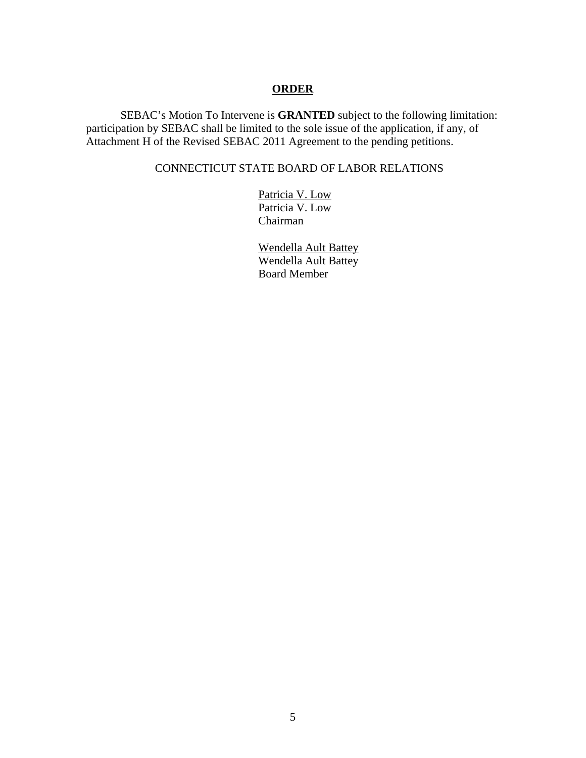## **ORDER**

SEBAC's Motion To Intervene is **GRANTED** subject to the following limitation: participation by SEBAC shall be limited to the sole issue of the application, if any, of Attachment H of the Revised SEBAC 2011 Agreement to the pending petitions.

# CONNECTICUT STATE BOARD OF LABOR RELATIONS

 Patricia V. Low Patricia V. Low Chairman

 Wendella Ault Battey Wendella Ault Battey Board Member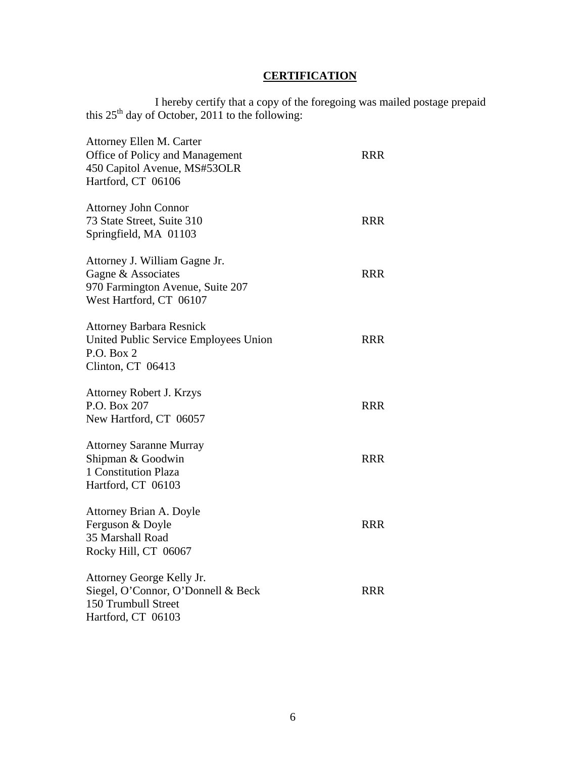# **CERTIFICATION**

 I hereby certify that a copy of the foregoing was mailed postage prepaid this  $25<sup>th</sup>$  day of October, 2011 to the following:

| Attorney Ellen M. Carter<br>Office of Policy and Management<br>450 Capitol Avenue, MS#53OLR<br>Hartford, CT 06106  | <b>RRR</b> |
|--------------------------------------------------------------------------------------------------------------------|------------|
| <b>Attorney John Connor</b><br>73 State Street, Suite 310<br>Springfield, MA 01103                                 | <b>RRR</b> |
| Attorney J. William Gagne Jr.<br>Gagne & Associates<br>970 Farmington Avenue, Suite 207<br>West Hartford, CT 06107 | <b>RRR</b> |
| <b>Attorney Barbara Resnick</b><br>United Public Service Employees Union<br>P.O. Box 2<br>Clinton, CT 06413        | RRR        |
| <b>Attorney Robert J. Krzys</b><br>P.O. Box 207<br>New Hartford, CT 06057                                          | <b>RRR</b> |
| <b>Attorney Saranne Murray</b><br>Shipman & Goodwin<br>1 Constitution Plaza<br>Hartford, CT 06103                  | <b>RRR</b> |
| Attorney Brian A. Doyle<br>Ferguson & Doyle<br>35 Marshall Road<br>Rocky Hill, CT 06067                            | <b>RRR</b> |
| Attorney George Kelly Jr.<br>Siegel, O'Connor, O'Donnell & Beck<br>150 Trumbull Street<br>Hartford, CT 06103       | <b>RRR</b> |